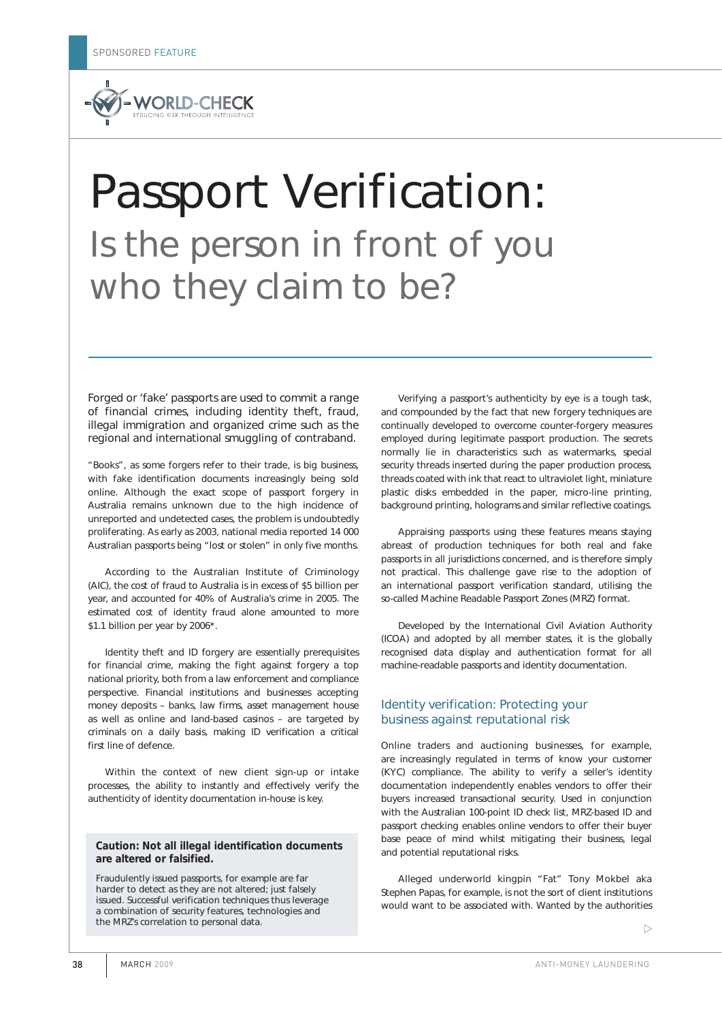

# Passport Verification: Is the person in front of you who they claim to be?

Forged or 'fake' passports are used to commit a range of financial crimes, including identity theft, fraud, illegal immigration and organized crime such as the regional and international smuggling of contraband.

"Books", as some forgers refer to their trade, is big business, with fake identification documents increasingly being sold online. Although the exact scope of passport forgery in Australia remains unknown due to the high incidence of unreported and undetected cases, the problem is undoubtedly proliferating. As early as 2003, national media reported 14 000 Australian passports being "lost or stolen" in only five months.

According to the Australian Institute of Criminology (AIC), the cost of fraud to Australia is in excess of \$5 billion per year, and accounted for 40% of Australia's crime in 2005. The estimated cost of identity fraud alone amounted to more \$1.1 billion per year by 2006\*.

Identity theft and ID forgery are essentially prerequisites for financial crime, making the fight against forgery a top national priority, both from a law enforcement and compliance perspective. Financial institutions and businesses accepting money deposits – banks, law firms, asset management house as well as online and land-based casinos – are targeted by criminals on a daily basis, making ID verification a critical first line of defence.

Within the context of new client sign-up or intake processes, the ability to instantly and effectively verify the authenticity of identity documentation in-house is key.

#### **Caution: Not all illegal identification documents are altered or falsified.**

Fraudulently issued passports, for example are far harder to detect as they are not altered; just falsely issued. Successful verification techniques thus leverage a combination of security features, technologies and the MRZ's correlation to personal data.

Verifying a passport's authenticity by eye is a tough task, and compounded by the fact that new forgery techniques are continually developed to overcome counter-forgery measures employed during legitimate passport production. The secrets normally lie in characteristics such as watermarks, special security threads inserted during the paper production process, threads coated with ink that react to ultraviolet light, miniature plastic disks embedded in the paper, micro-line printing, background printing, holograms and similar reflective coatings.

Appraising passports using these features means staying abreast of production techniques for both real and fake passports in all jurisdictions concerned, and is therefore simply not practical. This challenge gave rise to the adoption of an international passport verification standard, utilising the so-called Machine Readable Passport Zones (MRZ) format.

Developed by the International Civil Aviation Authority (ICOA) and adopted by all member states, it is the globally recognised data display and authentication format for all machine-readable passports and identity documentation.

#### Identity verification: Protecting your business against reputational risk

Online traders and auctioning businesses, for example, are increasingly regulated in terms of know your customer (KYC) compliance. The ability to verify a seller's identity documentation independently enables vendors to offer their buyers increased transactional security. Used in conjunction with the Australian 100-point ID check list, MRZ-based ID and passport checking enables online vendors to offer their buyer base peace of mind whilst mitigating their business, legal and potential reputational risks.

Alleged underworld kingpin "Fat" Tony Mokbel aka Stephen Papas, for example, is not the sort of client institutions would want to be associated with. Wanted by the authorities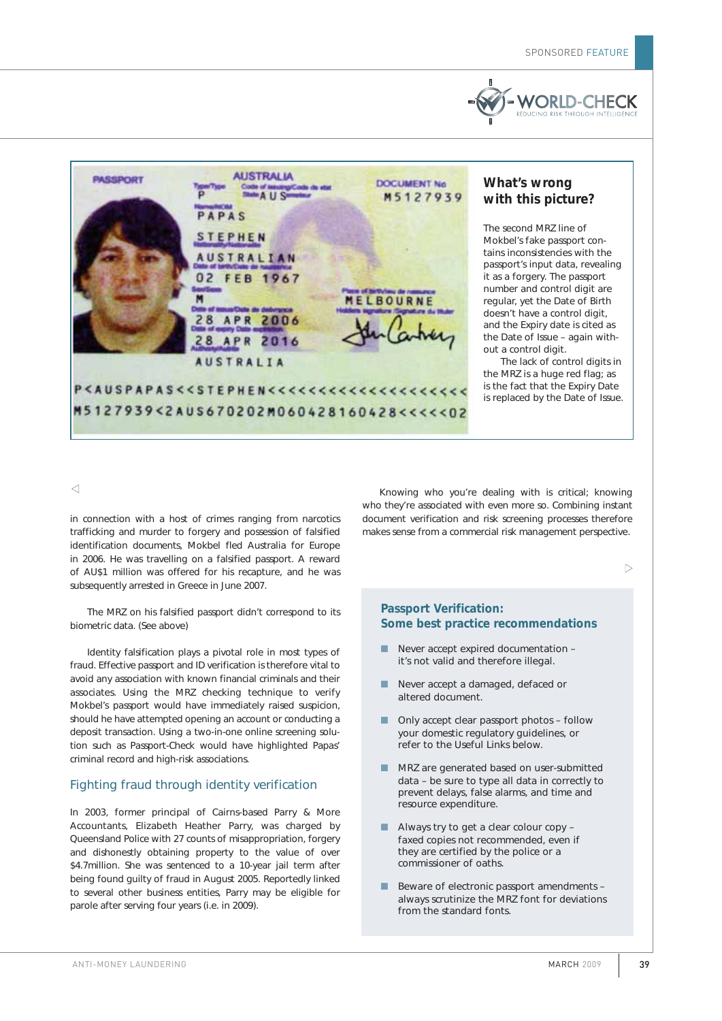



# **What's wrong with this picture?**

The second MRZ line of Mokbel's fake passport contains inconsistencies with the passport's input data, revealing it as a forgery. The passport number and control digit are regular, yet the Date of Birth doesn't have a control digit, and the Expiry date is cited as the Date of Issue – again without a control digit.

The lack of control digits in the MRZ is a huge red flag; as is the fact that the Expiry Date is replaced by the Date of Issue.

 $\triangleleft$ 

in connection with a host of crimes ranging from narcotics trafficking and murder to forgery and possession of falsified identification documents, Mokbel fled Australia for Europe in 2006. He was travelling on a falsified passport. A reward of AU\$1 million was offered for his recapture, and he was subsequently arrested in Greece in June 2007.

The MRZ on his falsified passport didn't correspond to its biometric data. *(See above)*

Identity falsification plays a pivotal role in most types of fraud. Effective passport and ID verification is therefore vital to avoid any association with known financial criminals and their associates. Using the MRZ checking technique to verify Mokbel's passport would have immediately raised suspicion, should he have attempted opening an account or conducting a deposit transaction. Using a two-in-one online screening solution such as Passport-Check would have highlighted Papas' criminal record and high-risk associations.

# Fighting fraud through identity verification

In 2003, former principal of Cairns-based Parry & More Accountants, Elizabeth Heather Parry, was charged by Queensland Police with 27 counts of misappropriation, forgery and dishonestly obtaining property to the value of over \$4.7million. She was sentenced to a 10-year jail term after being found guilty of fraud in August 2005. Reportedly linked to several other business entities, Parry may be eligible for parole after serving four years (i.e. in 2009).

Knowing who you're dealing with is critical; knowing who they're associated with even more so. Combining instant document verification and risk screening processes therefore makes sense from a commercial risk management perspective.

 $\triangleright$ 

#### **Passport Verification: Some best practice recommendations**

- Never accept expired documentation it's not valid and therefore illegal.
- Never accept a damaged, defaced or altered document.
- Only accept clear passport photos follow your domestic regulatory guidelines, or refer to the Useful Links below.
- MRZ are generated based on user-submitted data – be sure to type all data in correctly to prevent delays, false alarms, and time and resource expenditure.
- Always try to get a clear colour copy faxed copies not recommended, even if they are certified by the police or a commissioner of oaths.
- Beware of electronic passport amendments always scrutinize the MRZ font for deviations from the standard fonts.